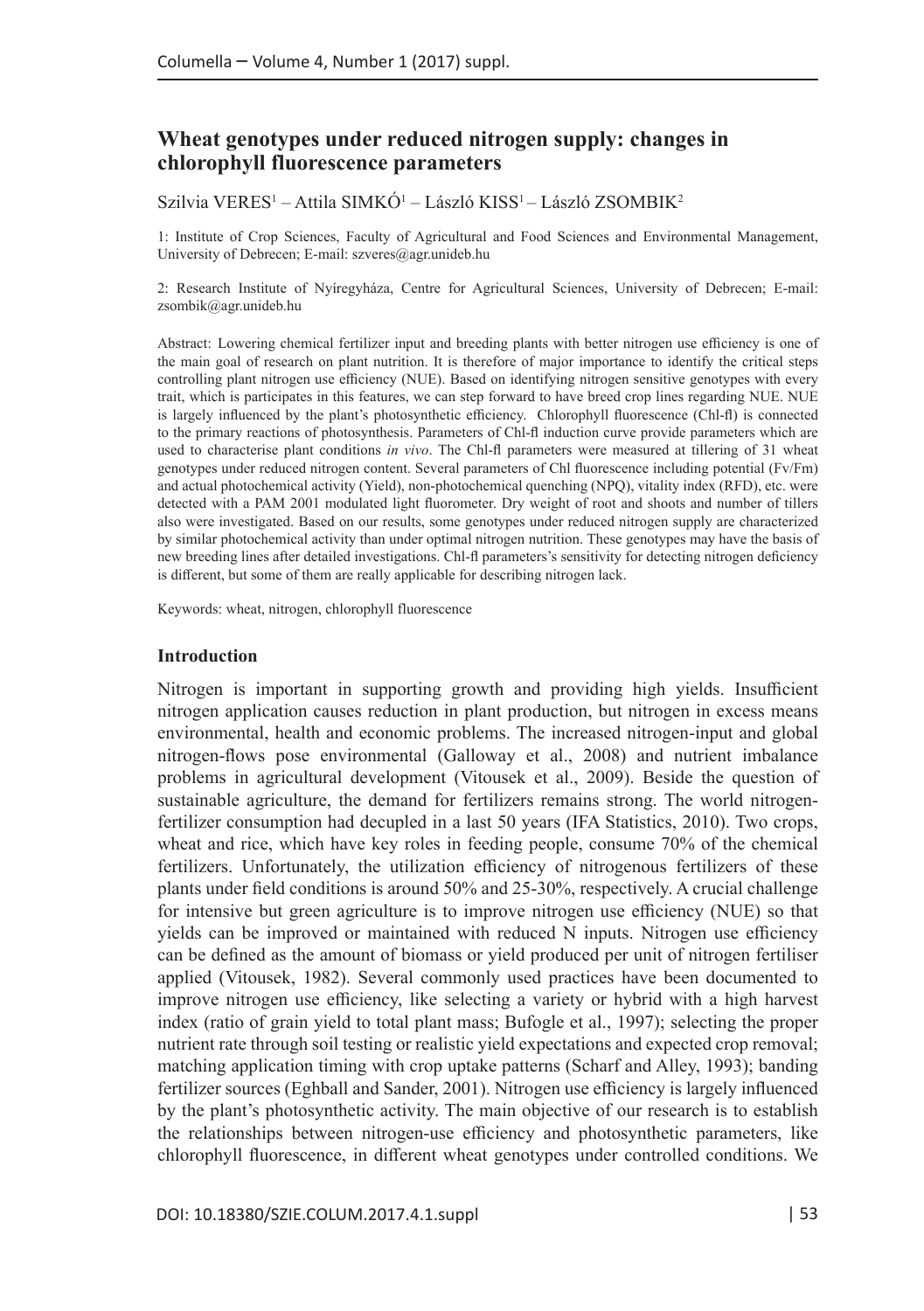# **Wheat genotypes under reduced nitrogen supply: changes in chlorophyll fluorescence parameters**

Szilvia VERES<sup>1</sup> – Attila SIMKO<sup>1</sup> – László KISS<sup>1</sup> – László ZSOMBIK<sup>2</sup>

1: Institute of Crop Sciences, Faculty of Agricultural and Food Sciences and Environmental Management, University of Debrecen; E-mail: [szveres@agr.unideb.hu](mailto:szveres@agr.unideb.hu)

2: Research Institute of Nyíregyháza, Centre for Agricultural Sciences, University of Debrecen; E-mail: [zsombik@agr.unideb.hu](mailto:zsombik@agr.unideb.hu)

Abstract: Lowering chemical fertilizer input and breeding plants with better nitrogen use efficiency is one of the main goal of research on plant nutrition. It is therefore of major importance to identify the critical steps controlling plant nitrogen use efficiency (NUE). Based on identifying nitrogen sensitive genotypes with every trait, which is participates in this features, we can step forward to have breed crop lines regarding NUE. NUE is largely influenced by the plant's photosynthetic efficiency. Chlorophyll fluorescence (Chl-fl) is connected to the primary reactions of photosynthesis. Parameters of Chl-fl induction curve provide parameters which are used to characterise plant conditions *in vivo*. The Chl-fl parameters were measured at tillering of 31 wheat genotypes under reduced nitrogen content. Several parameters of Chl fluorescence including potential (Fv/Fm) and actual photochemical activity (Yield), non-photochemical quenching (NPQ), vitality index (RFD), etc. were detected with a PAM 2001 modulated light fluorometer. Dry weight of root and shoots and number of tillers also were investigated. Based on our results, some genotypes under reduced nitrogen supply are characterized by similar photochemical activity than under optimal nitrogen nutrition. These genotypes may have the basis of new breeding lines after detailed investigations. Chl-fl parameters's sensitivity for detecting nitrogen deficiency is different, but some of them are really applicable for describing nitrogen lack.

Keywords: wheat, nitrogen, chlorophyll fluorescence

## **Introduction**

Nitrogen is important in supporting growth and providing high yields. Insufficient nitrogen application causes reduction in plant production, but nitrogen in excess means environmental, health and economic problems. The increased nitrogen-input and global nitrogen-flows pose environmental (Galloway et al., 2008) and nutrient imbalance problems in agricultural development (Vitousek et al., 2009). Beside the question of sustainable agriculture, the demand for fertilizers remains strong. The world nitrogenfertilizer consumption had decupled in a last 50 years (IFA Statistics, 2010). Two crops, wheat and rice, which have key roles in feeding people, consume 70% of the chemical fertilizers. Unfortunately, the utilization efficiency of nitrogenous fertilizers of these plants under field conditions is around 50% and 25-30%, respectively. A crucial challenge for intensive but green agriculture is to improve nitrogen use efficiency (NUE) so that yields can be improved or maintained with reduced N inputs. Nitrogen use efficiency can be defined as the amount of biomass or yield produced per unit of nitrogen fertiliser applied (Vitousek, 1982). Several commonly used practices have been documented to improve nitrogen use efficiency, like selecting a variety or hybrid with a high harvest index (ratio of grain yield to total plant mass; Bufogle et al., 1997); selecting the proper nutrient rate through soil testing or realistic yield expectations and expected crop removal; matching application timing with crop uptake patterns (Scharf and Alley, 1993); banding fertilizer sources (Eghball and Sander, 2001). Nitrogen use efficiency is largely influenced by the plant's photosynthetic activity. The main objective of our research is to establish the relationships between nitrogen-use efficiency and photosynthetic parameters, like chlorophyll fluorescence, in different wheat genotypes under controlled conditions. We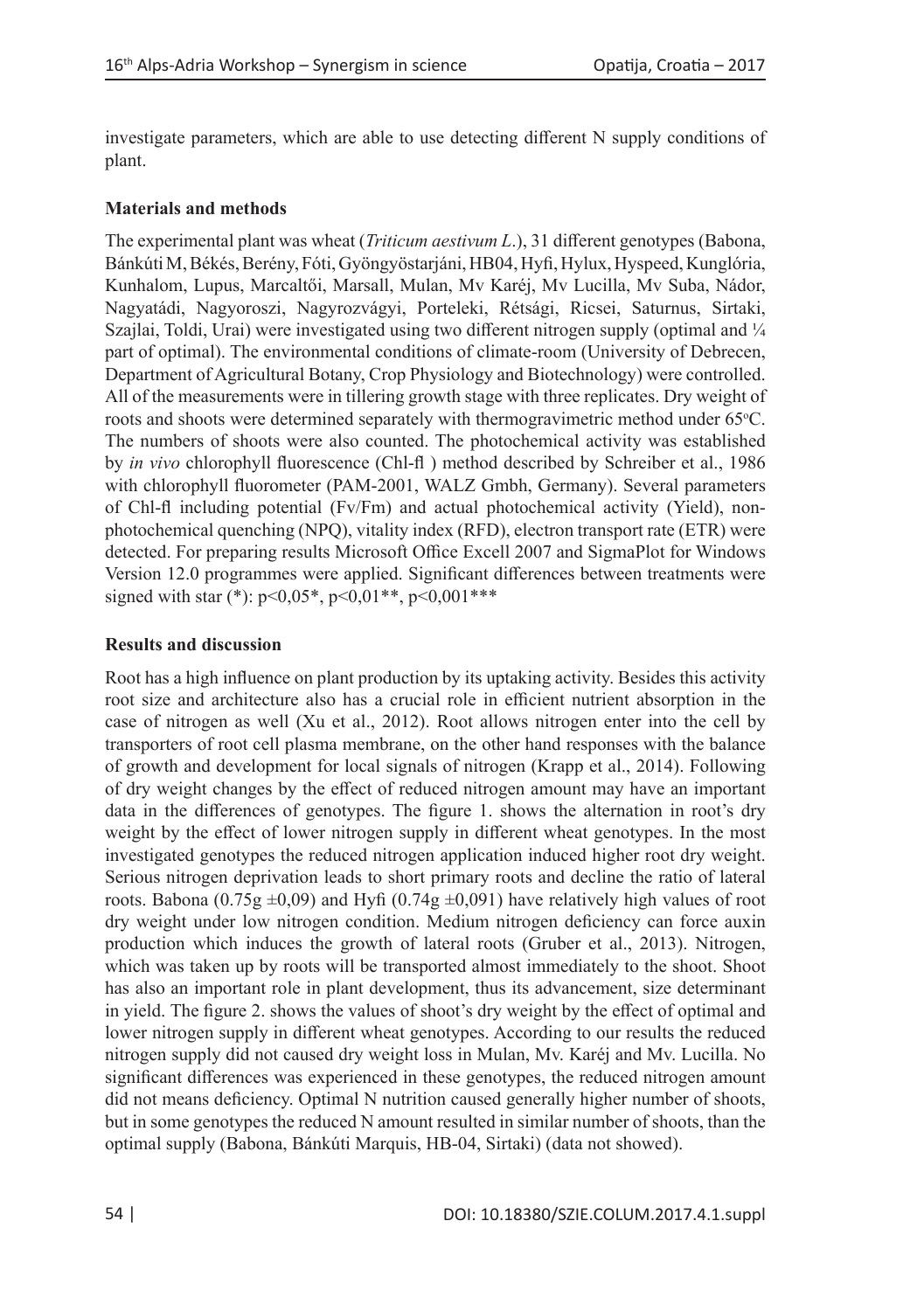investigate parameters, which are able to use detecting different N supply conditions of plant.

## **Materials and methods**

The experimental plant was wheat (*Triticum aestivum L*.), 31 different genotypes (Babona, Bánkúti M, Békés, Berény, Fóti, Gyöngyöstarjáni, HB04, Hyfi, Hylux, Hyspeed, Kunglória, Kunhalom, Lupus, Marcaltői, Marsall, Mulan, Mv Karéj, Mv Lucilla, Mv Suba, Nádor, Nagyatádi, Nagyoroszi, Nagyrozvágyi, Porteleki, Rétsági, Ricsei, Saturnus, Sirtaki, Szajlai, Toldi, Urai) were investigated using two different nitrogen supply (optimal and ¼ part of optimal). The environmental conditions of climate-room (University of Debrecen, Department of Agricultural Botany, Crop Physiology and Biotechnology) were controlled. All of the measurements were in tillering growth stage with three replicates. Dry weight of roots and shoots were determined separately with thermogravimetric method under 65°C. The numbers of shoots were also counted. The photochemical activity was established by *in vivo* chlorophyll fluorescence (Chl-fl ) method described by Schreiber et al., 1986 with chlorophyll fluorometer (PAM-2001, WALZ Gmbh, Germany). Several parameters of Chl-fl including potential (Fv/Fm) and actual photochemical activity (Yield), nonphotochemical quenching (NPQ), vitality index (RFD), electron transport rate (ETR) were detected. For preparing results Microsoft Office Excell 2007 and SigmaPlot for Windows Version 12.0 programmes were applied. Significant differences between treatments were signed with star (\*): p<0,05\*, p<0,01\*\*, p<0,001\*\*\*

## **Results and discussion**

Root has a high influence on plant production by its uptaking activity. Besides this activity root size and architecture also has a crucial role in efficient nutrient absorption in the case of nitrogen as well (Xu et al., 2012). Root allows nitrogen enter into the cell by transporters of root cell plasma membrane, on the other hand responses with the balance of growth and development for local signals of nitrogen (Krapp et al., 2014). Following of dry weight changes by the effect of reduced nitrogen amount may have an important data in the differences of genotypes. The figure 1. shows the alternation in root's dry weight by the effect of lower nitrogen supply in different wheat genotypes. In the most investigated genotypes the reduced nitrogen application induced higher root dry weight. Serious nitrogen deprivation leads to short primary roots and decline the ratio of lateral roots. Babona (0.75g  $\pm$ 0,09) and Hyfi (0.74g  $\pm$ 0,091) have relatively high values of root dry weight under low nitrogen condition. Medium nitrogen deficiency can force auxin production which induces the growth of lateral roots (Gruber et al., 2013). Nitrogen, which was taken up by roots will be transported almost immediately to the shoot. Shoot has also an important role in plant development, thus its advancement, size determinant in yield. The figure 2. shows the values of shoot's dry weight by the effect of optimal and lower nitrogen supply in different wheat genotypes. According to our results the reduced nitrogen supply did not caused dry weight loss in Mulan, Mv. Karéj and Mv. Lucilla. No significant differences was experienced in these genotypes, the reduced nitrogen amount did not means deficiency. Optimal N nutrition caused generally higher number of shoots, but in some genotypes the reduced N amount resulted in similar number of shoots, than the optimal supply (Babona, Bánkúti Marquis, HB-04, Sirtaki) (data not showed).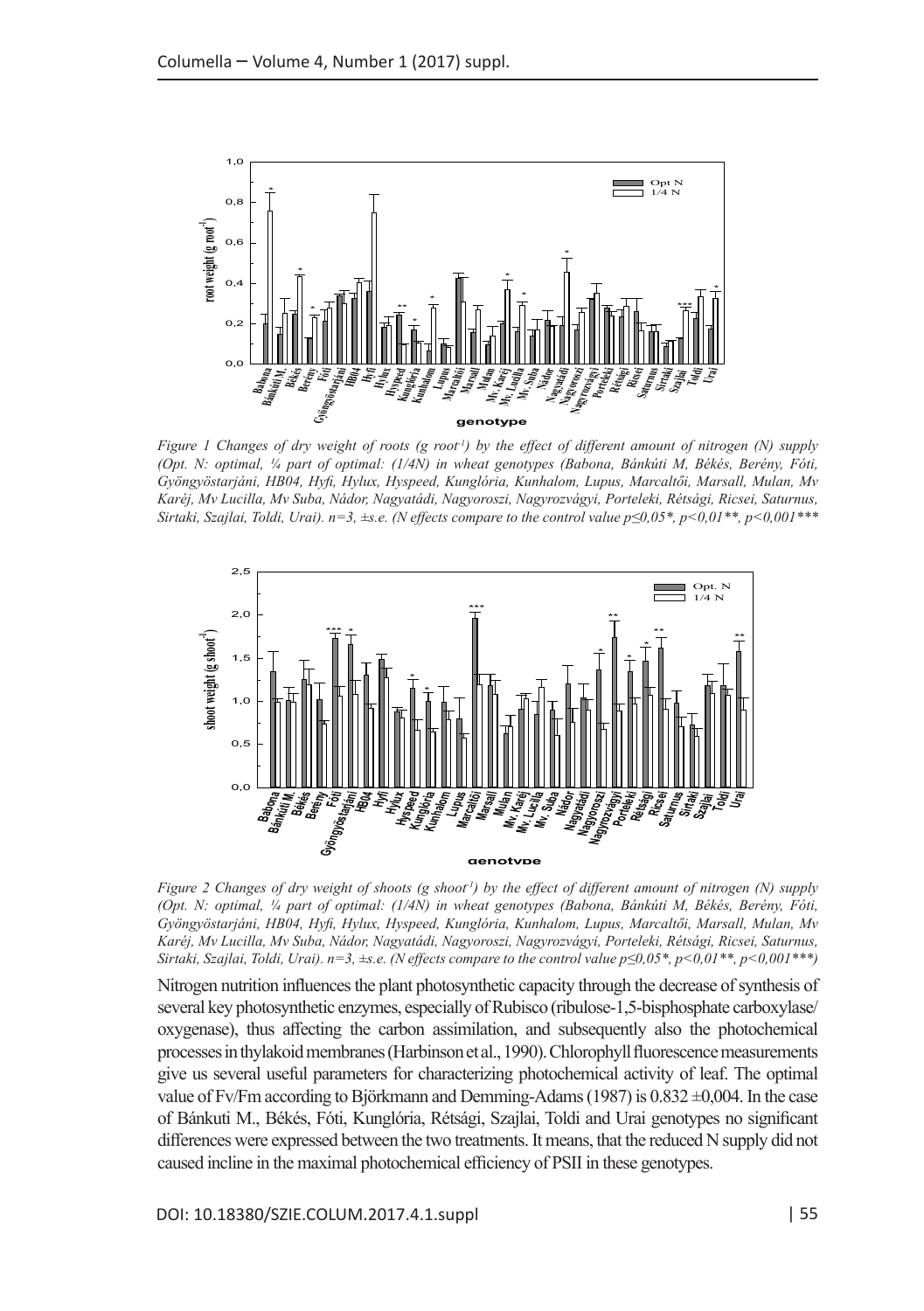

*Figure 1 Changes of dry weight of roots (g root-1) by the effect of different amount of nitrogen (N) supply (Opt. N: optimal, ¼ part of optimal: (1/4N) in wheat genotypes (Babona, Bánkúti M, Békés, Berény, Fóti, Gyöngyöstarjáni, HB04, Hyfi, Hylux, Hyspeed, Kunglória, Kunhalom, Lupus, Marcaltői, Marsall, Mulan, Mv Karéj, Mv Lucilla, Mv Suba, Nádor, Nagyatádi, Nagyoroszi, Nagyrozvágyi, Porteleki, Rétsági, Ricsei, Saturnus, Sirtaki, Szajlai, Toldi, Urai). n=3, ±s.e. (N effects compare to the control value p≤0,05\*, p<0,01\*\*, p<0,001\*\*\**



*Figure 2 Changes of dry weight of shoots (g shoot-1) by the effect of different amount of nitrogen (N) supply (Opt. N: optimal, ¼ part of optimal: (1/4N) in wheat genotypes (Babona, Bánkúti M, Békés, Berény, Fóti, Gyöngyöstarjáni, HB04, Hyfi, Hylux, Hyspeed, Kunglória, Kunhalom, Lupus, Marcaltői, Marsall, Mulan, Mv Karéj, Mv Lucilla, Mv Suba, Nádor, Nagyatádi, Nagyoroszi, Nagyrozvágyi, Porteleki, Rétsági, Ricsei, Saturnus, Sirtaki, Szajlai, Toldi, Urai). n=3, ±s.e. (N effects compare to the control value p≤0,05\*, p<0,01\*\*, p<0,001\*\*\*)*

Nitrogen nutrition influences the plant photosynthetic capacity through the decrease of synthesis of several key photosynthetic enzymes, especially of Rubisco (ribulose-1,5-bisphosphate carboxylase/ oxygenase), thus affecting the carbon assimilation, and subsequently also the photochemical processes in thylakoid membranes (Harbinson et al., 1990). Chlorophyll fluorescence measurements give us several useful parameters for characterizing photochemical activity of leaf. The optimal value of Fv/Fm according to Björkmann and Demming-Adams (1987) is 0.832 ±0,004. In the case of Bánkuti M., Békés, Fóti, Kunglória, Rétsági, Szajlai, Toldi and Urai genotypes no significant differences were expressed between the two treatments. It means, that the reduced N supply did not caused incline in the maximal photochemical efficiency of PSII in these genotypes.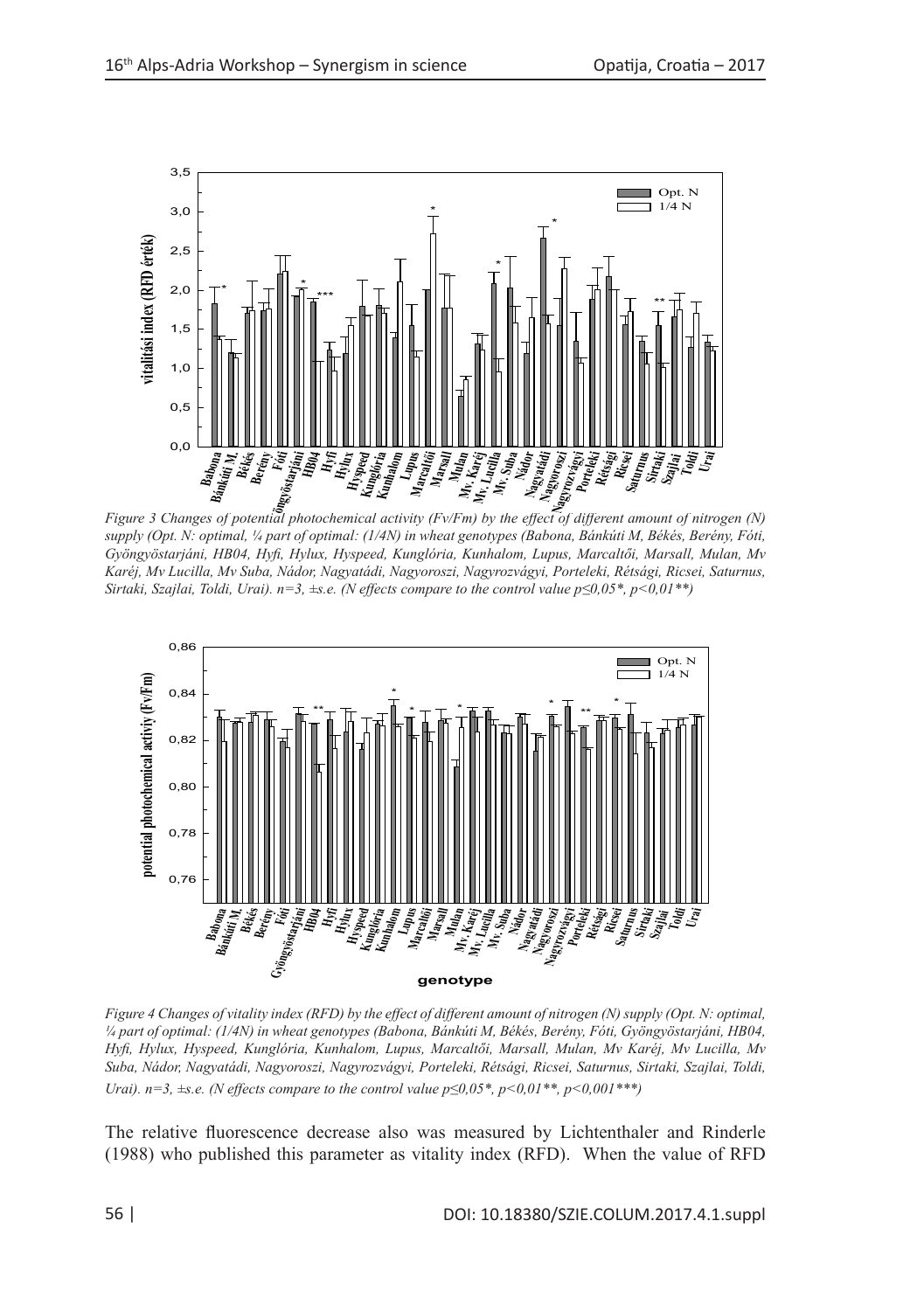

*Figure 3 Changes of potential photochemical activity (Fv/Fm) by the effect of different amount of nitrogen (N) supply (Opt. N: optimal, ¼ part of optimal: (1/4N) in wheat genotypes (Babona, Bánkúti M, Békés, Berény, Fóti,*  **genotípus**  *Gyöngyöstarjáni, HB04, Hyfi, Hylux, Hyspeed, Kunglória, Kunhalom, Lupus, Marcaltői, Marsall, Mulan, Mv Karéj, Mv Lucilla, Mv Suba, Nádor, Nagyatádi, Nagyoroszi, Nagyrozvágyi, Porteleki, Rétsági, Ricsei, Saturnus, Sirtaki, Szajlai, Toldi, Urai). n=3, ±s.e. (N effects compare to the control value p≤0,05\*, p<0,01\*\*)*



*Figure 4 Changes of vitality index (RFD) by the effect of different amount of nitrogen (N) supply (Opt. N: optimal, ¼ part of optimal: (1/4N) in wheat genotypes (Babona, Bánkúti M, Békés, Berény, Fóti, Gyöngyöstarjáni, HB04, Hyfi, Hylux, Hyspeed, Kunglória, Kunhalom, Lupus, Marcaltői, Marsall, Mulan, Mv Karéj, Mv Lucilla, Mv Suba, Nádor, Nagyatádi, Nagyoroszi, Nagyrozvágyi, Porteleki, Rétsági, Ricsei, Saturnus, Sirtaki, Szajlai, Toldi, Urai). n=3, ±s.e. (N effects compare to the control value p≤0,05\*, p<0,01\*\*, p<0,001\*\*\*)*

The relative fluorescence decrease also was measured by Lichtenthaler and Rinderle (1988) who published this parameter as vitality index (RFD). When the value of RFD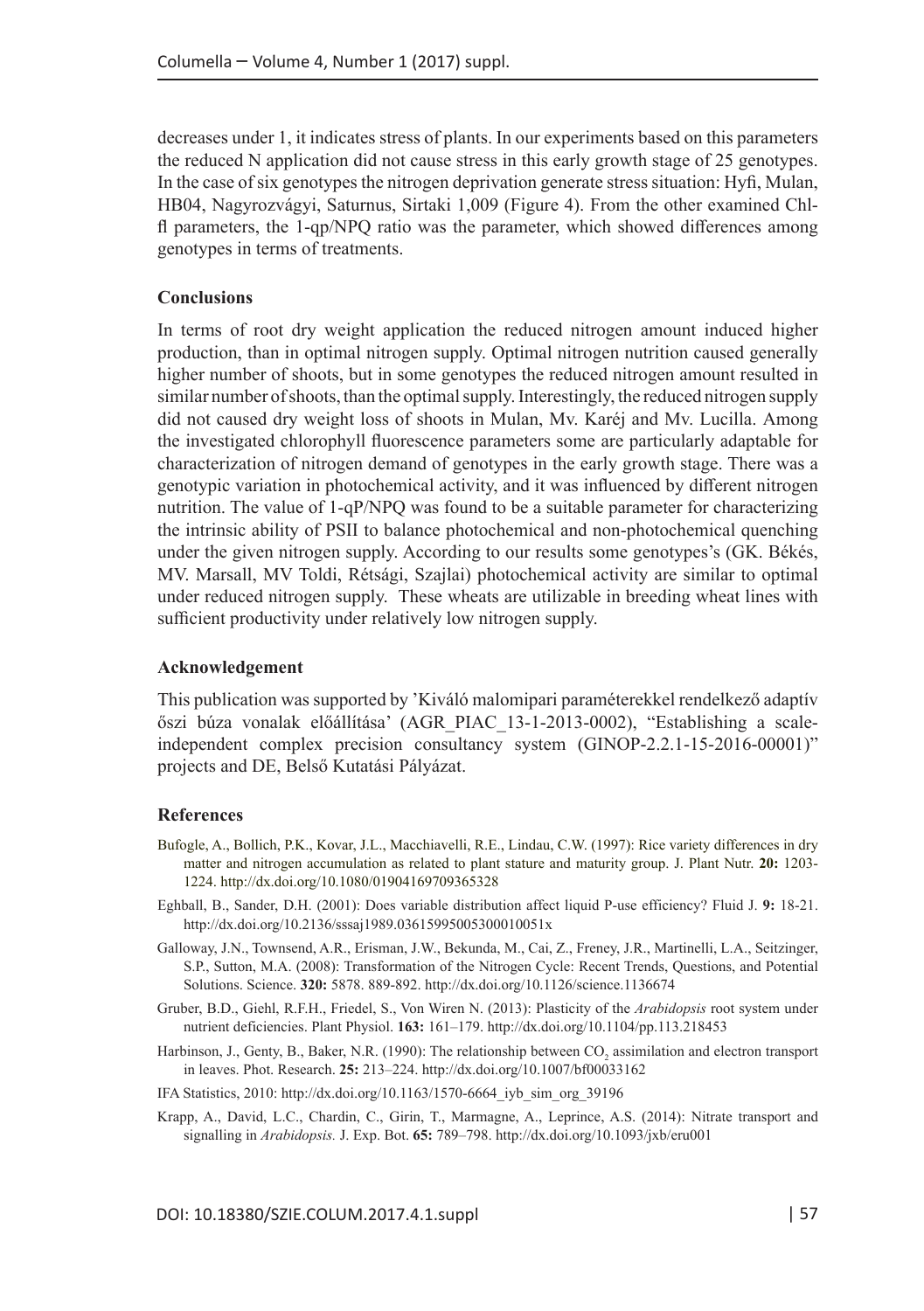decreases under 1, it indicates stress of plants. In our experiments based on this parameters the reduced N application did not cause stress in this early growth stage of 25 genotypes. In the case of six genotypes the nitrogen deprivation generate stress situation: Hyfi, Mulan, HB04, Nagyrozvágyi, Saturnus, Sirtaki 1,009 (Figure 4). From the other examined Chlfl parameters, the 1-qp/NPQ ratio was the parameter, which showed differences among genotypes in terms of treatments.

### **Conclusions**

In terms of root dry weight application the reduced nitrogen amount induced higher production, than in optimal nitrogen supply. Optimal nitrogen nutrition caused generally higher number of shoots, but in some genotypes the reduced nitrogen amount resulted in similar number of shoots, than the optimal supply. Interestingly, the reduced nitrogen supply did not caused dry weight loss of shoots in Mulan, Mv. Karéj and Mv. Lucilla. Among the investigated chlorophyll fluorescence parameters some are particularly adaptable for characterization of nitrogen demand of genotypes in the early growth stage. There was a genotypic variation in photochemical activity, and it was influenced by different nitrogen nutrition. The value of 1-qP/NPQ was found to be a suitable parameter for characterizing the intrinsic ability of PSII to balance photochemical and non-photochemical quenching under the given nitrogen supply. According to our results some genotypes's (GK. Békés, MV. Marsall, MV Toldi, Rétsági, Szajlai) photochemical activity are similar to optimal under reduced nitrogen supply. These wheats are utilizable in breeding wheat lines with sufficient productivity under relatively low nitrogen supply.

### **Acknowledgement**

This publication was supported by 'Kiváló malomipari paraméterekkel rendelkező adaptív őszi búza vonalak előállítása' (AGR\_PIAC\_13-1-2013-0002), "Establishing a scaleindependent complex precision consultancy system (GINOP-2.2.1-15-2016-00001)" projects and DE, Belső Kutatási Pályázat.

#### **References**

- Bufogle, A., Bollich, P.K., Kovar, J.L., Macchiavelli, R.E., Lindau, C.W. (1997): Rice variety differences in dry matter and nitrogen accumulation as related to plant stature and maturity group. J. Plant Nutr. **20:** 1203- 1224. http://dx.doi.org/10.1080/01904169709365328
- Eghball, B., Sander, D.H. (2001): Does variable distribution affect liquid P-use efficiency? Fluid J. **9:** 18-21. http://dx.doi.org/10.2136/sssaj1989.03615995005300010051x
- Galloway, J.N., Townsend, A.R., Erisman, J.W., Bekunda, M., Cai, Z., Freney, J.R., Martinelli, L.A., Seitzinger, S.P., Sutton, M.A. (2008): Transformation of the Nitrogen Cycle: Recent Trends, Questions, and Potential Solutions. Science. **320:** 5878. 889-892. http://dx.doi.org/10.1126/science.1136674
- Gruber, B.D., Giehl, R.F.H., Friedel, S., Von Wiren N. (2013): Plasticity of the *Arabidopsis* root system under nutrient deficiencies. Plant Physiol. **163:** 161–179. http://dx.doi.org/10.1104/pp.113.218453
- Harbinson, J., Genty, B., Baker, N.R. (1990): The relationship between  $\rm{CO}_{2}$  assimilation and electron transport in leaves. Phot. Research. **25:** 213–224. http://dx.doi.org/10.1007/bf00033162
- IFA Statistics, 2010: http://dx.doi.org/10.1163/1570-6664\_iyb\_sim\_org\_39196
- Krapp, A., David, L.C., Chardin, C., Girin, T., Marmagne, A., Leprince, A.S. (2014): Nitrate transport and signalling in *Arabidopsis.* J. Exp. Bot. **65:** 789–798. http://dx.doi.org/10.1093/jxb/eru001